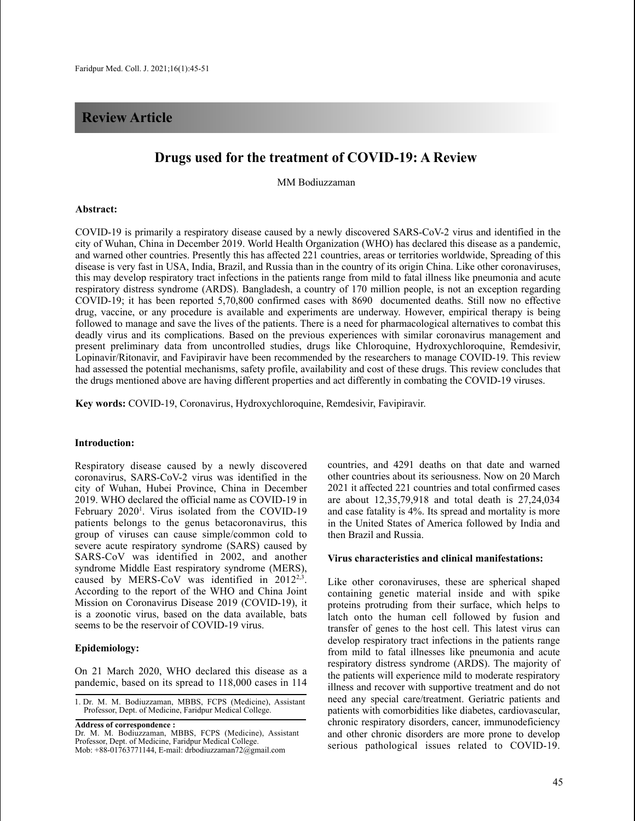# **Review Article**

# **Drugs used for the treatment of COVID-19: A Review**

MM Bodiuzzaman

#### **Abstract:**

COVID-19 is primarily a respiratory disease caused by a newly discovered SARS-CoV-2 virus and identified in the city of Wuhan, China in December 2019. World Health Organization (WHO) has declared this disease as a pandemic, and warned other countries. Presently this has affected 221 countries, areas or territories worldwide, Spreading of this disease is very fast in USA, India, Brazil, and Russia than in the country of its origin China. Like other coronaviruses, this may develop respiratory tract infections in the patients range from mild to fatal illness like pneumonia and acute respiratory distress syndrome (ARDS). Bangladesh, a country of 170 million people, is not an exception regarding COVID-19; it has been reported 5,70,800 confirmed cases with 8690 documented deaths. Still now no effective drug, vaccine, or any procedure is available and experiments are underway. However, empirical therapy is being followed to manage and save the lives of the patients. There is a need for pharmacological alternatives to combat this deadly virus and its complications. Based on the previous experiences with similar coronavirus management and present preliminary data from uncontrolled studies, drugs like Chloroquine, Hydroxychloroquine, Remdesivir, Lopinavir/Ritonavir, and Favipiravir have been recommended by the researchers to manage COVID-19. This review had assessed the potential mechanisms, safety profile, availability and cost of these drugs. This review concludes that the drugs mentioned above are having different properties and act differently in combating the COVID-19 viruses.

**Key words:** COVID-19, Coronavirus, Hydroxychloroquine, Remdesivir, Favipiravir.

#### **Introduction:**

Respiratory disease caused by a newly discovered coronavirus, SARS-CoV-2 virus was identified in the city of Wuhan, Hubei Province, China in December 2019. WHO declared the official name as COVID-19 in February 2020<sup>1</sup>. Virus isolated from the COVID-19 patients belongs to the genus betacoronavirus, this group of viruses can cause simple/common cold to severe acute respiratory syndrome (SARS) caused by SARS-CoV was identified in 2002, and another syndrome Middle East respiratory syndrome (MERS), caused by MERS-CoV was identified in  $2012^{2,3}$ . According to the report of the WHO and China Joint Mission on Coronavirus Disease 2019 (COVID-19), it is a zoonotic virus, based on the data available, bats seems to be the reservoir of COVID-19 virus.

#### **Epidemiology:**

On 21 March 2020, WHO declared this disease as a pandemic, based on its spread to 118,000 cases in 114

**Address of correspondence :**

countries, and 4291 deaths on that date and warned other countries about its seriousness. Now on 20 March 2021 it affected 221 countries and total confirmed cases are about 12,35,79,918 and total death is 27,24,034 and case fatality is 4%. Its spread and mortality is more in the United States of America followed by India and then Brazil and Russia.

### **Virus characteristics and clinical manifestations:**

Like other coronaviruses, these are spherical shaped containing genetic material inside and with spike proteins protruding from their surface, which helps to latch onto the human cell followed by fusion and transfer of genes to the host cell. This latest virus can develop respiratory tract infections in the patients range from mild to fatal illnesses like pneumonia and acute respiratory distress syndrome (ARDS). The majority of the patients will experience mild to moderate respiratory illness and recover with supportive treatment and do not need any special care/treatment. Geriatric patients and patients with comorbidities like diabetes, cardiovascular, chronic respiratory disorders, cancer, immunodeficiency and other chronic disorders are more prone to develop serious pathological issues related to COVID-19.

<sup>1.</sup> Dr. M. M. Bodiuzzaman, MBBS, FCPS (Medicine), Assistant Professor, Dept. of Medicine, Faridpur Medical College.

Dr. M. M. Bodiuzzaman, MBBS, FCPS (Medicine), Assistant Professor, Dept. of Medicine, Faridpur Medical College. Mob:  $+88-01763771144$ , E-mail: drbodiuzzaman $72@$ gmail.com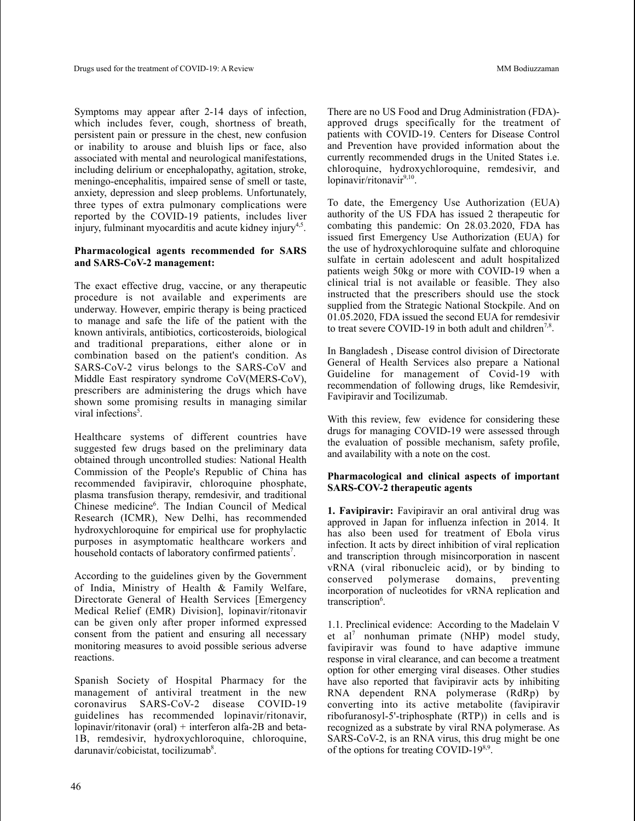Symptoms may appear after 2-14 days of infection, which includes fever, cough, shortness of breath, persistent pain or pressure in the chest, new confusion or inability to arouse and bluish lips or face, also associated with mental and neurological manifestations, including delirium or encephalopathy, agitation, stroke, meningo-encephalitis, impaired sense of smell or taste, anxiety, depression and sleep problems. Unfortunately, three types of extra pulmonary complications were reported by the COVID-19 patients, includes liver injury, fulminant myocarditis and acute kidney injury<sup>4,5</sup>.

### **Pharmacological agents recommended for SARS and SARS-CoV-2 management:**

The exact effective drug, vaccine, or any therapeutic procedure is not available and experiments are underway. However, empiric therapy is being practiced to manage and safe the life of the patient with the known antivirals, antibiotics, corticosteroids, biological and traditional preparations, either alone or in combination based on the patient's condition. As SARS-CoV-2 virus belongs to the SARS-CoV and Middle East respiratory syndrome CoV(MERS-CoV), prescribers are administering the drugs which have shown some promising results in managing similar viral infections<sup>5</sup>.

Healthcare systems of different countries have suggested few drugs based on the preliminary data obtained through uncontrolled studies: National Health Commission of the People's Republic of China has recommended favipiravir, chloroquine phosphate, plasma transfusion therapy, remdesivir, and traditional Chinese medicine<sup>6</sup>. The Indian Council of Medical Research (ICMR), New Delhi, has recommended hydroxychloroquine for empirical use for prophylactic purposes in asymptomatic healthcare workers and household contacts of laboratory confirmed patients<sup>7</sup>.

According to the guidelines given by the Government of India, Ministry of Health & Family Welfare, Directorate General of Health Services [Emergency Medical Relief (EMR) Division], lopinavir/ritonavir can be given only after proper informed expressed consent from the patient and ensuring all necessary monitoring measures to avoid possible serious adverse reactions.

Spanish Society of Hospital Pharmacy for the management of antiviral treatment in the new coronavirus SARS-CoV-2 disease COVID-19 guidelines has recommended lopinavir/ritonavir, lopinavir/ritonavir (oral) + interferon alfa-2B and beta-1B, remdesivir, hydroxychloroquine, chloroquine, darunavir/cobicistat, tocilizumab<sup>8</sup>.

There are no US Food and Drug Administration (FDA) approved drugs specifically for the treatment of patients with COVID-19. Centers for Disease Control and Prevention have provided information about the currently recommended drugs in the United States i.e. chloroquine, hydroxychloroquine, remdesivir, and lopinavir/ritonavir<sup>9,10</sup>.

To date, the Emergency Use Authorization (EUA) authority of the US FDA has issued 2 therapeutic for combating this pandemic: On 28.03.2020, FDA has issued first Emergency Use Authorization (EUA) for the use of hydroxychloroquine sulfate and chloroquine sulfate in certain adolescent and adult hospitalized patients weigh 50kg or more with COVID-19 when a clinical trial is not available or feasible. They also instructed that the prescribers should use the stock supplied from the Strategic National Stockpile. And on 01.05.2020, FDA issued the second EUA for remdesivir to treat severe COVID-19 in both adult and children<sup>7,8</sup>.

In Bangladesh , Disease control division of Directorate General of Health Services also prepare a National Guideline for management of Covid-19 with recommendation of following drugs, like Remdesivir, Favipiravir and Tocilizumab.

With this review, few evidence for considering these drugs for managing COVID-19 were assessed through the evaluation of possible mechanism, safety profile, and availability with a note on the cost.

## **Pharmacological and clinical aspects of important SARS-COV-2 therapeutic agents**

**1. Favipiravir:** Favipiravir an oral antiviral drug was approved in Japan for influenza infection in 2014. It has also been used for treatment of Ebola virus infection. It acts by direct inhibition of viral replication and transcription through misincorporation in nascent vRNA (viral ribonucleic acid), or by binding to conserved polymerase domains, preventing incorporation of nucleotides for vRNA replication and transcription<sup>6</sup>.

1.1. Preclinical evidence: According to the Madelain V et al <sup>7</sup> nonhuman primate (NHP) model study, favipiravir was found to have adaptive immune response in viral clearance, and can become a treatment option for other emerging viral diseases. Other studies have also reported that favipiravir acts by inhibiting RNA dependent RNA polymerase (RdRp) by converting into its active metabolite (favipiravir ribofuranosyl-5'-triphosphate (RTP)) in cells and is recognized as a substrate by viral RNA polymerase. As SARS-CoV-2, is an RNA virus, this drug might be one of the options for treating COVID-19<sup>8,9</sup>.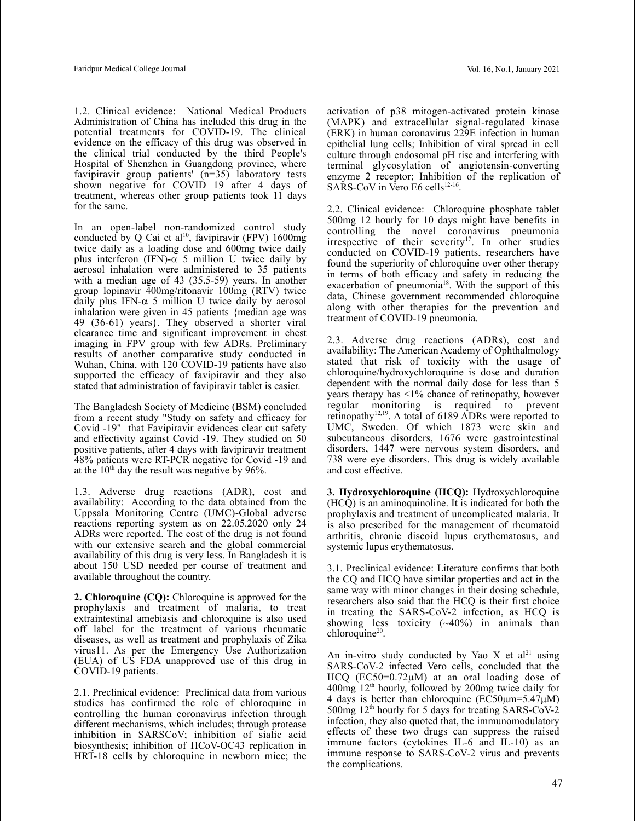1.2. Clinical evidence: National Medical Products Administration of China has included this drug in the potential treatments for COVID-19. The clinical evidence on the efficacy of this drug was observed in the clinical trial conducted by the third People's Hospital of Shenzhen in Guangdong province, where favipiravir group patients' (n=35) laboratory tests shown negative for COVID 19 after 4 days of treatment, whereas other group patients took 11 days for the same.

In an open-label non-randomized control study conducted by Q Cai et al<sup>10</sup>, favipiravir (FPV)  $1600mg$ twice daily as a loading dose and 600mg twice daily plus interferon (IFN)- $\alpha$  5 million U twice daily by aerosol inhalation were administered to 35 patients with a median age of 43 (35.5-59) years. In another group lopinavir 400mg/ritonavir 100mg (RTV) twice daily plus IFN- $\alpha$  5 million U twice daily by aerosol inhalation were given in 45 patients {median age was 49 (36-61) years}. They observed a shorter viral clearance time and significant improvement in chest imaging in FPV group with few ADRs. Preliminary results of another comparative study conducted in Wuhan, China, with 120 COVID-19 patients have also supported the efficacy of favipiravir and they also stated that administration of favipiravir tablet is easier.

The Bangladesh Society of Medicine (BSM) concluded from a recent study "Study on safety and efficacy for Covid -19" that Favipiravir evidences clear cut safety and effectivity against Covid -19. They studied on 50 positive patients, after 4 days with favipiravir treatment 48% patients were RT-PCR negative for Covid -19 and at the  $10^{th}$  day the result was negative by 96%.

1.3. Adverse drug reactions (ADR), cost and availability: According to the data obtained from the Uppsala Monitoring Centre (UMC)-Global adverse reactions reporting system as on 22.05.2020 only 24 ADRs were reported. The cost of the drug is not found with our extensive search and the global commercial availability of this drug is very less. In Bangladesh it is about 150 USD needed per course of treatment and available throughout the country.

**2. Chloroquine (CQ):** Chloroquine is approved for the prophylaxis and treatment of malaria, to treat extraintestinal amebiasis and chloroquine is also used off label for the treatment of various rheumatic diseases, as well as treatment and prophylaxis of Zika virus11. As per the Emergency Use Authorization (EUA) of US FDA unapproved use of this drug in COVID-19 patients.

2.1. Preclinical evidence: Preclinical data from various studies has confirmed the role of chloroquine in controlling the human coronavirus infection through different mechanisms, which includes; through protease inhibition in SARSCoV; inhibition of sialic acid biosynthesis; inhibition of HCoV-OC43 replication in HRT-18 cells by chloroquine in newborn mice; the

activation of p38 mitogen-activated protein kinase (MAPK) and extracellular signal-regulated kinase (ERK) in human coronavirus 229E infection in human epithelial lung cells; Inhibition of viral spread in cell culture through endosomal pH rise and interfering with terminal glycosylation of angiotensin-converting enzyme 2 receptor; Inhibition of the replication of SARS-CoV in Vero E6 cells $^{12-16}$ .

2.2. Clinical evidence: Chloroquine phosphate tablet 500mg 12 hourly for 10 days might have benefits in controlling the novel coronavirus pneumonia irrespective of their severity<sup>17</sup>. In other studies conducted on COVID-19 patients, researchers have found the superiority of chloroquine over other therapy in terms of both efficacy and safety in reducing the exacerbation of pneumonia<sup>18</sup>. With the support of this data, Chinese government recommended chloroquine along with other therapies for the prevention and treatment of COVID-19 pneumonia.

2.3. Adverse drug reactions (ADRs), cost and availability: The American Academy of Ophthalmology stated that risk of toxicity with the usage of chloroquine/hydroxychloroquine is dose and duration dependent with the normal daily dose for less than 5 years therapy has <1% chance of retinopathy, however regular monitoring is required to prevent retinopathy<sup>12,19</sup>. A total of 6189 ADRs were reported to UMC, Sweden. Of which 1873 were skin and subcutaneous disorders, 1676 were gastrointestinal disorders, 1447 were nervous system disorders, and 738 were eye disorders. This drug is widely available and cost effective.

**3. Hydroxychloroquine (HCQ):** Hydroxychloroquine (HCQ) is an aminoquinoline. It is indicated for both the prophylaxis and treatment of uncomplicated malaria. It is also prescribed for the management of rheumatoid arthritis, chronic discoid lupus erythematosus, and systemic lupus erythematosus.

3.1. Preclinical evidence: Literature confirms that both the CQ and HCQ have similar properties and act in the same way with minor changes in their dosing schedule, researchers also said that the HCQ is their first choice in treating the SARS-CoV-2 infection, as HCQ is showing less toxicity  $(-40\%)$  in animals than chloroquine<sup>20</sup>.

An in-vitro study conducted by Yao X et al<sup>21</sup> using SARS-CoV-2 infected Vero cells, concluded that the HCQ  $(EC50=0.72\mu M)$  at an oral loading dose of 400mg 12th hourly, followed by 200mg twice daily for 4 days is better than chloroquine ( $E\overline{C}50\mu$ m=5.47 $\mu$ M)  $500$ mg  $12<sup>th</sup>$  hourly for 5 days for treating SARS-CoV-2 infection, they also quoted that, the immunomodulatory effects of these two drugs can suppress the raised immune factors (cytokines IL-6 and IL-10) as an immune response to SARS-CoV-2 virus and prevents the complications.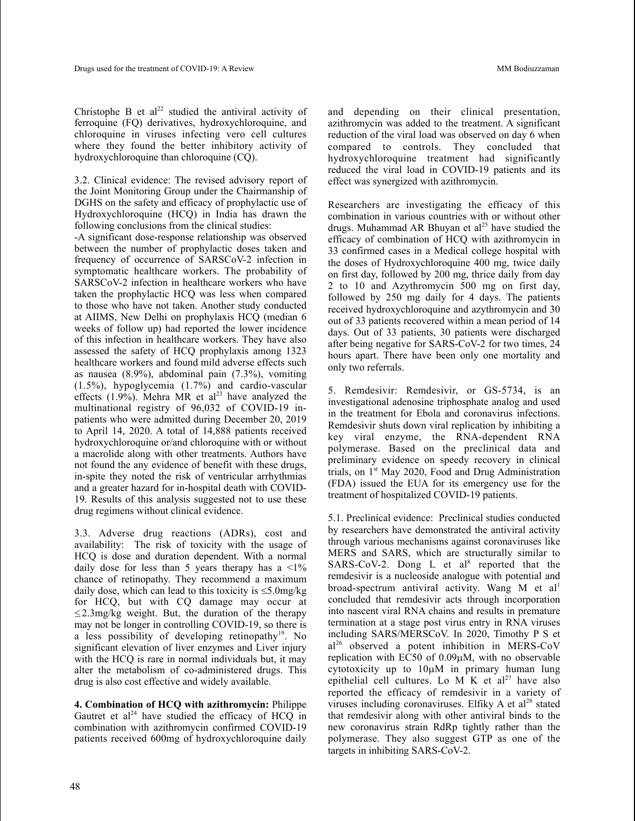Christophe B et al<sup>22</sup> studied the antiviral activity of ferroquine (FQ) derivatives, hydroxychloroquine, and chloroquine in viruses infecting vero cell cultures where they found the better inhibitory activity of hydroxychloroquine than chloroquine (CQ).

3.2. Clinical evidence: The revised advisory report of the Joint Monitoring Group under the Chairmanship of DGHS on the safety and efficacy of prophylactic use of Hydroxychloroquine (HCQ) in India has drawn the following conclusions from the clinical studies:

-A significant dose-response relationship was observed between the number of prophylactic doses taken and frequency of occurrence of SARSCoV-2 infection in symptomatic healthcare workers. The probability of SARSCoV-2 infection in healthcare workers who have taken the prophylactic HCQ was less when compared to those who have not taken. Another study conducted at AIIMS, New Delhi on prophylaxis HCQ (median 6 weeks of follow up) had reported the lower incidence of this infection in healthcare workers. They have also assessed the safety of HCQ prophylaxis among 1323 healthcare workers and found mild adverse effects such as nausea (8.9%), abdominal pain (7.3%), vomiting (1.5%), hypoglycemia (1.7%) and cardio-vascular effects  $(1.9\%)$ . Mehra MR et al<sup>23</sup> have analyzed the multinational registry of 96,032 of COVID-19 inpatients who were admitted during December 20, 2019 to April 14, 2020. A total of 14,888 patients received hydroxychloroquine or/and chloroquine with or without a macrolide along with other treatments. Authors have not found the any evidence of benefit with these drugs, in-spite they noted the risk of ventricular arrhythmias and a greater hazard for in-hospital death with COVID-19. Results of this analysis suggested not to use these drug regimens without clinical evidence.

3.3. Adverse drug reactions (ADRs), cost and availability: The risk of toxicity with the usage of HCQ is dose and duration dependent. With a normal daily dose for less than 5 years therapy has a  $\leq 1\%$ chance of retinopathy. They recommend a maximum daily dose, which can lead to this toxicity is  $\leq 5.0$ mg/kg for HCQ, but with CQ damage may occur at  $\leq$  2.3mg/kg weight. But, the duration of the therapy may not be longer in controlling COVID-19, so there is a less possibility of developing retinopathy<sup>19</sup>. No significant elevation of liver enzymes and Liver injury with the HCQ is rare in normal individuals but, it may alter the metabolism of co-administered drugs. This drug is also cost effective and widely available.

**4. Combination of HCQ with azithromycin:** Philippe Gautret et  $al^{24}$  have studied the efficacy of HCQ in combination with azithromycin confirmed COVID-19 patients received 600mg of hydroxychloroquine daily

and depending on their clinical presentation, azithromycin was added to the treatment. A significant reduction of the viral load was observed on day 6 when compared to controls. They concluded that hydroxychloroquine treatment had significantly reduced the viral load in COVID-19 patients and its effect was synergized with azithromycin.

Researchers are investigating the efficacy of this combination in various countries with or without other drugs. Muhammad AR Bhuyan et al<sup>25</sup> have studied the efficacy of combination of HCQ with azithromycin in 33 confirmed cases in a Medical college hospital with the doses of Hydroxychloroquine 400 mg, twice daily on first day, followed by 200 mg, thrice daily from day 2 to 10 and Azythromycin 500 mg on first day, followed by 250 mg daily for 4 days. The patients received hydroxychloroquine and azythromycin and 30 out of 33 patients recovered within a mean period of 14 days. Out of 33 patients, 30 patients were discharged after being negative for SARS-CoV-2 for two times, 24 hours apart. There have been only one mortality and only two referrals.

5. Remdesivir: Remdesivir, or GS-5734, is an investigational adenosine triphosphate analog and used in the treatment for Ebola and coronavirus infections. Remdesivir shuts down viral replication by inhibiting a key viral enzyme, the RNA-dependent RNA polymerase. Based on the preclinical data and preliminary evidence on speedy recovery in clinical trials, on 1<sup>st</sup> May 2020, Food and Drug Administration (FDA) issued the EUA for its emergency use for the treatment of hospitalized COVID-19 patients.

5.1. Preclinical evidence: Preclinical studies conducted by researchers have demonstrated the antiviral activity through various mechanisms against coronaviruses like MERS and SARS, which are structurally similar to SARS-CoV-2. Dong L et  $al^8$  reported that the remdesivir is a nucleoside analogue with potential and broad-spectrum antiviral activity. Wang M et al<sup>1</sup> concluded that remdesivir acts through incorporation into nascent viral RNA chains and results in premature termination at a stage post virus entry in RNA viruses including SARS/MERSCoV. In 2020, Timothy P S et al <sup>26</sup> observed a potent inhibition in MERS-CoV replication with EC50 of  $0.09\mu$ M, with no observable cytotoxicity up to  $10\mu$ M in primary human lung epithelial cell cultures. Lo M K et al<sup>27</sup> have also reported the efficacy of remdesivir in a variety of viruses including coronaviruses. Elfiky A et al<sup>28</sup> stated that remdesivir along with other antiviral binds to the new coronavirus strain RdRp tightly rather than the polymerase. They also suggest GTP as one of the targets in inhibiting SARS-CoV-2.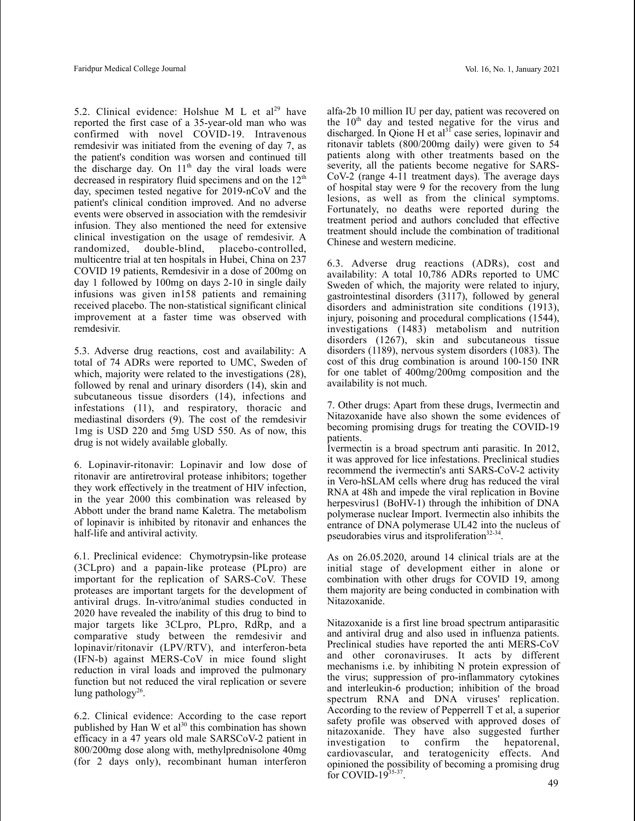5.2. Clinical evidence: Holshue M L et al<sup>29</sup> have reported the first case of a 35-year-old man who was confirmed with novel COVID-19. Intravenous remdesivir was initiated from the evening of day 7, as the patient's condition was worsen and continued till the discharge day. On  $11<sup>th</sup>$  day the viral loads were decreased in respiratory fluid specimens and on the  $12<sup>th</sup>$ day, specimen tested negative for 2019-nCoV and the patient's clinical condition improved. And no adverse events were observed in association with the remdesivir infusion. They also mentioned the need for extensive clinical investigation on the usage of remdesivir. A randomized, double-blind, placebo-controlled, multicentre trial at ten hospitals in Hubei, China on 237 COVID 19 patients, Remdesivir in a dose of 200mg on day 1 followed by 100mg on days 2-10 in single daily infusions was given in158 patients and remaining received placebo. The non-statistical significant clinical improvement at a faster time was observed with remdesivir.

5.3. Adverse drug reactions, cost and availability: A total of 74 ADRs were reported to UMC, Sweden of which, majority were related to the investigations (28), followed by renal and urinary disorders (14), skin and subcutaneous tissue disorders (14), infections and infestations (11), and respiratory, thoracic and mediastinal disorders (9). The cost of the remdesivir 1mg is USD 220 and 5mg USD 550. As of now, this drug is not widely available globally.

6. Lopinavir-ritonavir: Lopinavir and low dose of ritonavir are antiretroviral protease inhibitors; together they work effectively in the treatment of HIV infection, in the year 2000 this combination was released by Abbott under the brand name Kaletra. The metabolism of lopinavir is inhibited by ritonavir and enhances the half-life and antiviral activity.

6.1. Preclinical evidence: Chymotrypsin-like protease (3CLpro) and a papain-like protease (PLpro) are important for the replication of SARS-CoV. These proteases are important targets for the development of antiviral drugs. In-vitro/animal studies conducted in 2020 have revealed the inability of this drug to bind to major targets like 3CLpro, PLpro, RdRp, and a comparative study between the remdesivir and lopinavir/ritonavir (LPV/RTV), and interferon-beta (IFN-b) against MERS-CoV in mice found slight reduction in viral loads and improved the pulmonary function but not reduced the viral replication or severe lung pathology<sup>26</sup>.

6.2. Clinical evidence: According to the case report published by Han W et al<sup>30</sup> this combination has shown efficacy in a 47 years old male SARSCoV-2 patient in 800/200mg dose along with, methylprednisolone 40mg (for 2 days only), recombinant human interferon

alfa-2b 10 million IU per day, patient was recovered on the  $10<sup>th</sup>$  day and tested negative for the virus and discharged. In Qione H et al<sup>31</sup> case series, lopinavir and ritonavir tablets (800/200mg daily) were given to 54 patients along with other treatments based on the severity, all the patients become negative for SARS-CoV-2 (range 4-11 treatment days). The average days of hospital stay were 9 for the recovery from the lung lesions, as well as from the clinical symptoms. Fortunately, no deaths were reported during the treatment period and authors concluded that effective treatment should include the combination of traditional Chinese and western medicine.

6.3. Adverse drug reactions (ADRs), cost and availability: A total 10,786 ADRs reported to UMC Sweden of which, the majority were related to injury, gastrointestinal disorders (3117), followed by general disorders and administration site conditions (1913), injury, poisoning and procedural complications (1544), investigations (1483) metabolism and nutrition disorders (1267), skin and subcutaneous tissue disorders (1189), nervous system disorders (1083). The cost of this drug combination is around 100-150 INR for one tablet of 400mg/200mg composition and the availability is not much.

7. Other drugs: Apart from these drugs, Ivermectin and Nitazoxanide have also shown the some evidences of becoming promising drugs for treating the COVID-19 patients.

Ivermectin is a broad spectrum anti parasitic. In 2012, it was approved for lice infestations. Preclinical studies recommend the ivermectin's anti SARS-CoV-2 activity in Vero-hSLAM cells where drug has reduced the viral RNA at 48h and impede the viral replication in Bovine herpesvirus1 (BoHV-1) through the inhibition of DNA polymerase nuclear Import. Ivermectin also inhibits the entrance of DNA polymerase UL42 into the nucleus of pseudorabies virus and itsproliferation<sup>32-34</sup>.

As on 26.05.2020, around 14 clinical trials are at the initial stage of development either in alone or combination with other drugs for COVID 19, among them majority are being conducted in combination with Nitazoxanide.

Nitazoxanide is a first line broad spectrum antiparasitic and antiviral drug and also used in influenza patients. Preclinical studies have reported the anti MERS-CoV and other coronaviruses. It acts by different mechanisms i.e. by inhibiting N protein expression of the virus; suppression of pro-inflammatory cytokines and interleukin-6 production; inhibition of the broad spectrum RNA and DNA viruses' replication. According to the review of Pepperrell T et al, a superior safety profile was observed with approved doses of nitazoxanide. They have also suggested further investigation to confirm cardiovascular, and teratogenicity effects. And opinioned the possibility of becoming a promising drug for COVID-19 $35-37$ . . <sup>49</sup>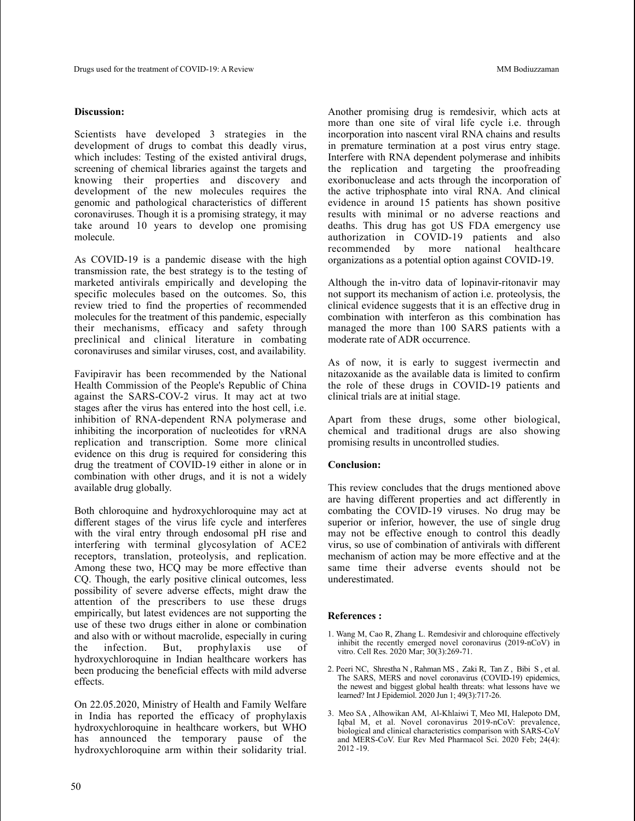### **Discussion:**

Scientists have developed 3 strategies in the development of drugs to combat this deadly virus, which includes: Testing of the existed antiviral drugs, screening of chemical libraries against the targets and knowing their properties and discovery and development of the new molecules requires the genomic and pathological characteristics of different coronaviruses. Though it is a promising strategy, it may take around 10 years to develop one promising molecule.

As COVID-19 is a pandemic disease with the high transmission rate, the best strategy is to the testing of marketed antivirals empirically and developing the specific molecules based on the outcomes. So, this review tried to find the properties of recommended molecules for the treatment of this pandemic, especially their mechanisms, efficacy and safety through preclinical and clinical literature in combating coronaviruses and similar viruses, cost, and availability.

Favipiravir has been recommended by the National Health Commission of the People's Republic of China against the SARS-COV-2 virus. It may act at two stages after the virus has entered into the host cell, i.e. inhibition of RNA-dependent RNA polymerase and inhibiting the incorporation of nucleotides for vRNA replication and transcription. Some more clinical evidence on this drug is required for considering this drug the treatment of COVID-19 either in alone or in combination with other drugs, and it is not a widely available drug globally.

Both chloroquine and hydroxychloroquine may act at different stages of the virus life cycle and interferes with the viral entry through endosomal pH rise and interfering with terminal glycosylation of ACE2 receptors, translation, proteolysis, and replication. Among these two, HCQ may be more effective than CQ. Though, the early positive clinical outcomes, less possibility of severe adverse effects, might draw the attention of the prescribers to use these drugs empirically, but latest evidences are not supporting the use of these two drugs either in alone or combination and also with or without macrolide, especially in curing the infection. But, prophylaxis use of hydroxychloroquine in Indian healthcare workers has been producing the beneficial effects with mild adverse effects.

On 22.05.2020, Ministry of Health and Family Welfare in India has reported the efficacy of prophylaxis hydroxychloroquine in healthcare workers, but WHO has announced the temporary pause of the hydroxychloroquine arm within their solidarity trial. Another promising drug is remdesivir, which acts at more than one site of viral life cycle i.e. through incorporation into nascent viral RNA chains and results in premature termination at a post virus entry stage. Interfere with RNA dependent polymerase and inhibits the replication and targeting the proofreading exoribonuclease and acts through the incorporation of the active triphosphate into viral RNA. And clinical evidence in around 15 patients has shown positive results with minimal or no adverse reactions and deaths. This drug has got US FDA emergency use authorization in COVID-19 patients and also recommended by more national healthcare organizations as a potential option against COVID-19.

Although the in-vitro data of lopinavir-ritonavir may not support its mechanism of action i.e. proteolysis, the clinical evidence suggests that it is an effective drug in combination with interferon as this combination has managed the more than 100 SARS patients with a moderate rate of ADR occurrence.

As of now, it is early to suggest ivermectin and nitazoxanide as the available data is limited to confirm the role of these drugs in COVID-19 patients and clinical trials are at initial stage.

Apart from these drugs, some other biological, chemical and traditional drugs are also showing promising results in uncontrolled studies.

### **Conclusion:**

This review concludes that the drugs mentioned above are having different properties and act differently in combating the COVID-19 viruses. No drug may be superior or inferior, however, the use of single drug may not be effective enough to control this deadly virus, so use of combination of antivirals with different mechanism of action may be more effective and at the same time their adverse events should not be underestimated.

## **References :**

- 1. Wang M, Cao R, Zhang L. Remdesivir and chloroquine effectively inhibit the recently emerged novel coronavirus (2019-nCoV) in vitro. Cell Res. 2020 Mar; 30(3):269-71.
- 2. Peeri NC, Shrestha N , Rahman MS , Zaki R, Tan Z , Bibi S , et al. The SARS, MERS and novel coronavirus (COVID-19) epidemics, the newest and biggest global health threats: what lessons have we learned? Int J Epidemiol. 2020 Jun 1; 49(3):717-26.
- 3. Meo SA , Alhowikan AM, Al-Khlaiwi T, Meo MI, Halepoto DM, Iqbal M, et al. Novel coronavirus 2019-nCoV: prevalence, biological and clinical characteristics comparison with SARS-CoV and MERS-CoV. Eur Rev Med Pharmacol Sci. 2020 Feb; 24(4): 2012 -19.